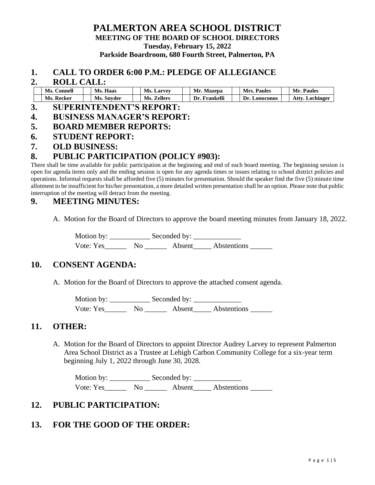## **PALMERTON AREA SCHOOL DISTRICT MEETING OF THE BOARD OF SCHOOL DIRECTORS Tuesday, February 15, 2022 Parkside Boardroom, 680 Fourth Street, Palmerton, PA**

#### **1. CALL TO ORDER 6:00 P.M.: PLEDGE OF ALLEGIANCE**

#### **2. ROLL CALL:**

| Ms.<br>Connell | Ms.<br>. Haas | <b>Ms. Larvey</b> | Mr.<br><b>Mazepa</b> | Mrs.<br><b>Paules</b> | Mr.<br><b>Paules</b> |
|----------------|---------------|-------------------|----------------------|-----------------------|----------------------|
| Ms. Recker     | Ms. Snyder    | Ms. Zellers       | Frankelli<br>Dr.     | Dr.<br>Lonoconus      | Atty<br>Lochinger    |

#### **3. SUPERINTENDENT'S REPORT:**

- **4. BUSINESS MANAGER'S REPORT:**
- **5. BOARD MEMBER REPORTS:**
- **6. STUDENT REPORT:**
- **7. OLD BUSINESS:**

## **8. PUBLIC PARTICIPATION (POLICY #903):**

There shall be time available for public participation at the beginning and end of each board meeting. The beginning session is open for agenda items only and the ending session is open for any agenda times or issues relating to school district policies and operations. Informal requests shall be afforded five (5) minutes for presentation. Should the speaker find the five (5) minute time allotment to be insufficient for his/her presentation, a more detailed written presentation shall be an option. Please note that public interruption of the meeting will detract from the meeting.

## **9. MEETING MINUTES:**

A. Motion for the Board of Directors to approve the board meeting minutes from January 18, 2022.

Motion by: \_\_\_\_\_\_\_\_\_\_\_ Seconded by: \_\_\_\_\_\_\_\_\_\_\_\_\_ Vote: Yes\_\_\_\_\_\_ No \_\_\_\_\_\_ Absent\_\_\_\_\_ Abstentions \_\_\_\_\_\_

#### **10. CONSENT AGENDA:**

A. Motion for the Board of Directors to approve the attached consent agenda.

Motion by: \_\_\_\_\_\_\_\_\_\_\_ Seconded by: \_\_\_\_\_\_\_\_\_\_\_\_\_ Vote: Yes\_\_\_\_\_\_\_\_ No \_\_\_\_\_\_\_\_ Absent\_\_\_\_\_\_ Abstentions \_\_\_\_\_\_\_

#### **11. OTHER:**

A. Motion for the Board of Directors to appoint Director Audrey Larvey to represent Palmerton Area School District as a Trustee at Lehigh Carbon Community College for a six-year term beginning July 1, 2022 through June 30, 2028.

Motion by: \_\_\_\_\_\_\_\_\_\_\_ Seconded by: \_\_\_\_\_\_\_\_\_\_\_\_\_ Vote: Yes\_\_\_\_\_\_\_\_\_ No \_\_\_\_\_\_\_\_\_ Absent\_\_\_\_\_\_ Abstentions

## **12. PUBLIC PARTICIPATION:**

## **13. FOR THE GOOD OF THE ORDER:**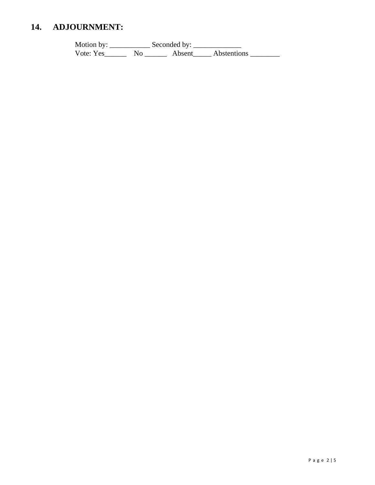#### 14. **ADJOURNMENT:**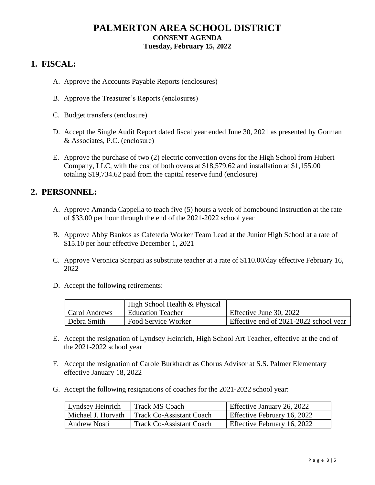# **PALMERTON AREA SCHOOL DISTRICT CONSENT AGENDA Tuesday, February 15, 2022**

# **1. FISCAL:**

- A. Approve the Accounts Payable Reports (enclosures)
- B. Approve the Treasurer's Reports (enclosures)
- C. Budget transfers (enclosure)
- D. Accept the Single Audit Report dated fiscal year ended June 30, 2021 as presented by Gorman & Associates, P.C. (enclosure)
- E. Approve the purchase of two (2) electric convection ovens for the High School from Hubert Company, LLC, with the cost of both ovens at \$18,579.62 and installation at \$1,155.00 totaling \$19,734.62 paid from the capital reserve fund (enclosure)

# **2. PERSONNEL:**

- A. Approve Amanda Cappella to teach five (5) hours a week of homebound instruction at the rate of \$33.00 per hour through the end of the 2021-2022 school year
- B. Approve Abby Bankos as Cafeteria Worker Team Lead at the Junior High School at a rate of \$15.10 per hour effective December 1, 2021
- C. Approve Veronica Scarpati as substitute teacher at a rate of \$110.00/day effective February 16, 2022
- D. Accept the following retirements:

|               | High School Health & Physical |                                        |
|---------------|-------------------------------|----------------------------------------|
| Carol Andrews | <b>Education Teacher</b>      | Effective June 30, 2022                |
| Debra Smith   | Food Service Worker           | Effective end of 2021-2022 school year |

- E. Accept the resignation of Lyndsey Heinrich, High School Art Teacher, effective at the end of the 2021-2022 school year
- F. Accept the resignation of Carole Burkhardt as Chorus Advisor at S.S. Palmer Elementary effective January 18, 2022
- G. Accept the following resignations of coaches for the 2021-2022 school year:

| <sup>1</sup> Lyndsey Heinrich | <b>Track MS Coach</b>    | Effective January 26, 2022  |
|-------------------------------|--------------------------|-----------------------------|
| Michael J. Horvath            | Track Co-Assistant Coach | Effective February 16, 2022 |
| Andrew Nosti                  | Track Co-Assistant Coach | Effective February 16, 2022 |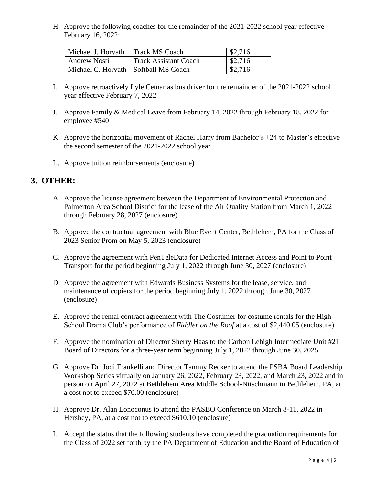H. Approve the following coaches for the remainder of the 2021-2022 school year effective February 16, 2022:

| Michael J. Horvath   Track MS Coach    |                              | \$2,716 |
|----------------------------------------|------------------------------|---------|
| Andrew Nosti                           | <b>Track Assistant Coach</b> | \$2,716 |
| Michael C. Horvath   Softball MS Coach |                              | \$2,716 |

- I. Approve retroactively Lyle Cetnar as bus driver for the remainder of the 2021-2022 school year effective February 7, 2022
- J. Approve Family & Medical Leave from February 14, 2022 through February 18, 2022 for employee #540
- K. Approve the horizontal movement of Rachel Harry from Bachelor's +24 to Master's effective the second semester of the 2021-2022 school year
- L. Approve tuition reimbursements (enclosure)

# **3. OTHER:**

- A. Approve the license agreement between the Department of Environmental Protection and Palmerton Area School District for the lease of the Air Quality Station from March 1, 2022 through February 28, 2027 (enclosure)
- B. Approve the contractual agreement with Blue Event Center, Bethlehem, PA for the Class of 2023 Senior Prom on May 5, 2023 (enclosure)
- C. Approve the agreement with PenTeleData for Dedicated Internet Access and Point to Point Transport for the period beginning July 1, 2022 through June 30, 2027 (enclosure)
- D. Approve the agreement with Edwards Business Systems for the lease, service, and maintenance of copiers for the period beginning July 1, 2022 through June 30, 2027 (enclosure)
- E. Approve the rental contract agreement with The Costumer for costume rentals for the High School Drama Club's performance of *Fiddler on the Roof* at a cost of \$2,440.05 (enclosure)
- F. Approve the nomination of Director Sherry Haas to the Carbon Lehigh Intermediate Unit #21 Board of Directors for a three-year term beginning July 1, 2022 through June 30, 2025
- G. Approve Dr. Jodi Frankelli and Director Tammy Recker to attend the PSBA Board Leadership Workshop Series virtually on January 26, 2022, February 23, 2022, and March 23, 2022 and in person on April 27, 2022 at Bethlehem Area Middle School-Nitschmann in Bethlehem, PA, at a cost not to exceed \$70.00 (enclosure)
- H. Approve Dr. Alan Lonoconus to attend the PASBO Conference on March 8-11, 2022 in Hershey, PA, at a cost not to exceed \$610.10 (enclosure)
- I. Accept the status that the following students have completed the graduation requirements for the Class of 2022 set forth by the PA Department of Education and the Board of Education of